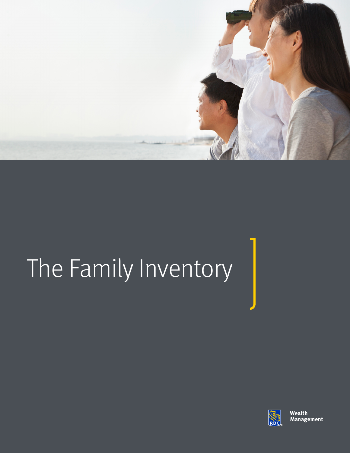

# The Family Inventory

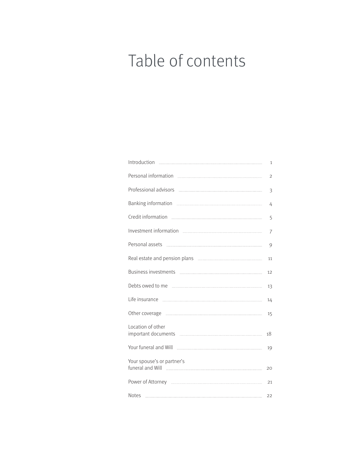# Table of contents

|                                                                           | 1              |
|---------------------------------------------------------------------------|----------------|
|                                                                           | $\overline{2}$ |
|                                                                           | 3              |
| Banking information <b>www.communition</b> 2014 1997                      | 4              |
|                                                                           | 5              |
|                                                                           | 7              |
|                                                                           | 9              |
| Real estate and pension plans <b>manually contained</b> and pension plans | 11             |
|                                                                           | 12             |
|                                                                           | 13             |
|                                                                           | 14             |
|                                                                           | 15             |
| Location of other                                                         | 18             |
|                                                                           | 19             |
| Your spouse's or partner's                                                | 20             |
|                                                                           | 21             |
| <b>Notes</b>                                                              | 22             |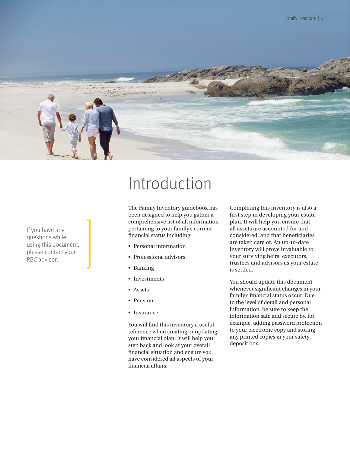

If you have any questions while using this document, please contact your RBC advisor.

## Introduction

The Family Inventory guidebook has been designed to help you gather a comprehensive list of all information pertaining to your family's current financial status including:

- Personal information
- Professional advisors
- Banking
- Investments
- Assets
- Pension
- Insurance

You will find this inventory a useful reference when creating or updating your financial plan. It will help you step back and look at your overall financial situation and ensure you have considered all aspects of your financial affairs.

Completing this inventory is also a first step in developing your estate plan. It will help you ensure that all assets are accounted for and considered, and that beneficiaries are taken care of. An up-to-date inventory will prove invaluable to your surviving heirs, executors, trustees and advisors as your estate is settled.

You should update this document whenever significant changes in your family's financial status occur. Due to the level of detail and personal information, be sure to keep the information safe and secure by, for example, adding password protection to your electronic copy and storing any printed copies in your safety deposit box.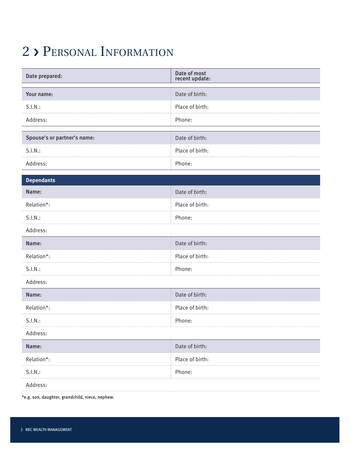#### 2 › Personal Information

| Date prepared:              | Date of most<br>recent update: |
|-----------------------------|--------------------------------|
| Your name:                  | Date of birth:                 |
| S.I.N.:                     | Place of birth:                |
| Address:                    | Phone:                         |
| Spouse's or partner's name: | Date of birth:                 |
| S.I.N.:                     | Place of birth:                |
| Address:                    | Phone:                         |
| <b>Dependants</b>           |                                |
| Name:                       | Date of birth:                 |
| Relation*:                  | Place of birth:                |
| S.I.N.:                     | Phone:                         |
| Address:                    |                                |
| Name:                       | Date of birth:                 |
| Relation*:                  | Place of birth:                |
| S.I.N.:                     | Phone:                         |
| Address:                    |                                |
| Name:                       | Date of birth:                 |
| Relation*:                  | Place of birth:                |
| S.I.N.:                     | Phone:                         |
| Address:                    |                                |
| Name:                       | Date of birth:                 |
| Relation*:                  | Place of birth:                |
| S.I.N.:                     | Phone:                         |
| Address:                    |                                |

\*e.g. son, daughter, grandchild, niece, nephew.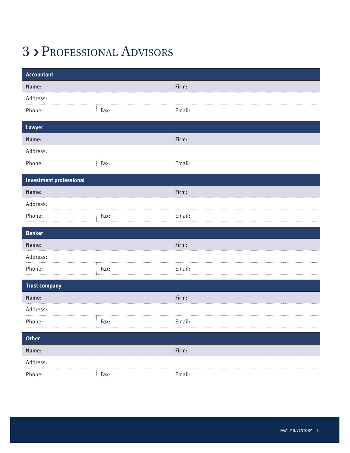### 3 › Professional Advisors

| Accountant                     |      |        |
|--------------------------------|------|--------|
| Name:                          |      | Firm:  |
| Address:                       |      |        |
| Phone:                         | Fax: | Email: |
| Lawyer                         |      |        |
| Name:                          |      | Firm:  |
| Address:                       |      |        |
| Phone:                         | Fax: | Email: |
| <b>Investment professional</b> |      |        |
| Name:                          |      | Firm:  |
| Address:                       |      |        |
| Phone:                         | Fax: | Email: |
| <b>Banker</b>                  |      |        |
| Name:                          |      | Firm:  |
| Address:                       |      |        |
| Phone:                         | Fax: | Email: |
|                                |      |        |
| <b>Trust company</b>           |      |        |
| Name:                          |      | Firm:  |
| Address:                       |      |        |
| Phone:                         | Fax: | Email: |
| <b>Other</b>                   |      |        |
| Name:                          |      | Firm:  |
| Address:                       |      |        |
| Phone:                         | Fax: | Email: |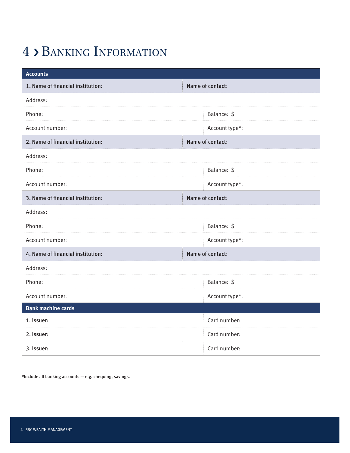### 4 › Banking Information

| <b>Accounts</b>                   |                  |
|-----------------------------------|------------------|
| 1. Name of financial institution: | Name of contact: |
| Address:                          |                  |
| Phone:                            | Balance: \$      |
| Account number:                   | Account type*:   |
| 2. Name of financial institution: | Name of contact: |
| Address:                          |                  |
| Phone:                            | Balance: \$      |
| Account number:                   | Account type*:   |
| 3. Name of financial institution: | Name of contact: |
| Address:                          |                  |
| Phone:                            | Balance: \$      |
| Account number:                   | Account type*:   |
| 4. Name of financial institution: | Name of contact: |
| Address:                          |                  |
| Phone:                            | Balance: \$      |
| Account number:                   | Account type*:   |
| <b>Bank machine cards</b>         |                  |
| 1. Issuer:                        | Card number:     |
| 2. Issuer:                        | Card number:     |
| 3. Issuer:                        | Card number:     |

\*Include all banking accounts — e.g. chequing, savings.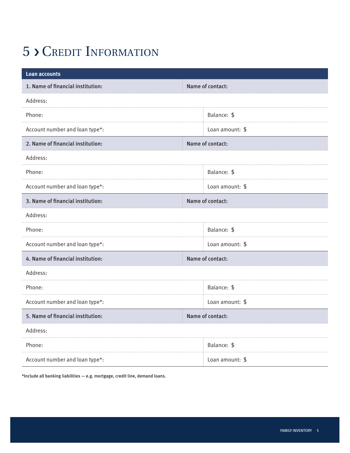### 5 › Credit Information

| <b>Loan accounts</b>              |                  |
|-----------------------------------|------------------|
| 1. Name of financial institution: | Name of contact: |
| Address:                          |                  |
| Phone:                            | Balance: \$      |
| Account number and loan type*:    | Loan amount: \$  |
| 2. Name of financial institution: | Name of contact: |
| Address:                          |                  |
| Phone:                            | Balance: \$      |
| Account number and loan type*:    | Loan amount: \$  |
| 3. Name of financial institution: | Name of contact: |
| Address:                          |                  |
| Phone:                            | Balance: \$      |
| Account number and loan type*:    | Loan amount: \$  |
| 4. Name of financial institution: | Name of contact: |
| Address:                          |                  |
| Phone:                            | Balance: \$      |
| Account number and loan type*:    | Loan amount: \$  |
| 5. Name of financial institution: | Name of contact: |
| Address:                          |                  |
| Phone:                            | Balance: \$      |
| Account number and loan type*:    | Loan amount: \$  |

\*Include all banking liabilities  $-$  e.g. mortgage, credit line, demand loans.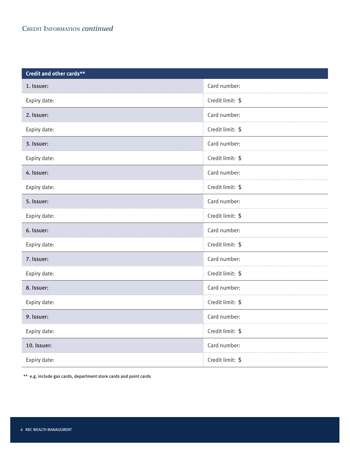| Credit and other cards** |                  |
|--------------------------|------------------|
| 1. Issuer:               | Card number:     |
| Expiry date:             | Credit limit: \$ |
| 2. Issuer:               | Card number:     |
| Expiry date:             | Credit limit: \$ |
| 3. Issuer:               | Card number:     |
| Expiry date:             | Credit limit: \$ |
| 4. Issuer:               | Card number:     |
| Expiry date:             | Credit limit: \$ |
| 5. Issuer:               | Card number:     |
| Expiry date:             | Credit limit: \$ |
| 6. Issuer:               | Card number:     |
| Expiry date:             | Credit limit: \$ |
| 7. Issuer:               | Card number:     |
| Expiry date:             | Credit limit: \$ |
| 8. Issuer:               | Card number:     |
| Expiry date:             | Credit limit: \$ |
| 9. Issuer:               | Card number:     |
| Expiry date:             | Credit limit: \$ |
|                          | Card number:     |
| 10. Issuer:              |                  |

\*\* e.g. include gas cards, department store cards and point cards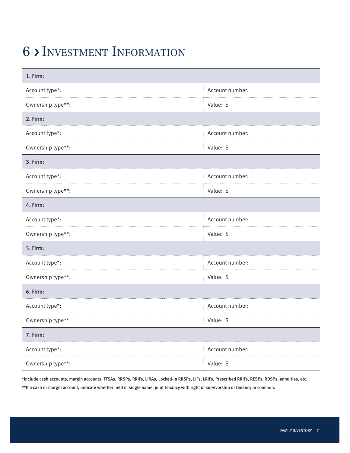#### 6 › Investment Information

| 1. Firm:          |                 |  |
|-------------------|-----------------|--|
| Account type*:    | Account number: |  |
| Ownership type**: | Value: \$       |  |
| 2. Firm:          |                 |  |
| Account type*:    | Account number: |  |
| Ownership type**: | Value: \$       |  |
| 3. Firm:          |                 |  |
| Account type*:    | Account number: |  |
| Ownership type**: | Value: \$       |  |
| 4. Firm:          |                 |  |
| Account type*:    | Account number: |  |
| Ownership type**: | Value: \$       |  |
| 5. Firm:          |                 |  |
| Account type*:    | Account number: |  |
| Ownership type**: | Value: \$       |  |
| 6. Firm:          |                 |  |
| Account type*:    | Account number: |  |
| Ownership type**: | Value: \$       |  |
| 7. Firm:          |                 |  |
| Account type*:    | Account number: |  |
| Ownership type**: | Value: \$       |  |

\*Include cash accounts, margin accounts, TFSAs, RRSPs, RRIFs, LIRAs, Locked-in RRSPs, LIFs, LRIFs, Prescribed RRIFs, RESPs, RDSPs, annuities, etc. \*\*If a cash or margin account, indicate whether held in single name, joint tenancy with right of survivorship or tenancy in common.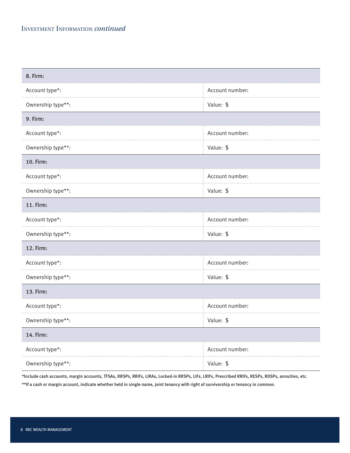| 8. Firm:          |                 |  |
|-------------------|-----------------|--|
| Account type*:    | Account number: |  |
| Ownership type**: | Value: \$       |  |
| 9. Firm:          |                 |  |
| Account type*:    | Account number: |  |
| Ownership type**: | Value: \$       |  |
| 10. Firm:         |                 |  |
| Account type*:    | Account number: |  |
| Ownership type**: | Value: \$       |  |
| <b>11. Firm:</b>  |                 |  |
| Account type*:    | Account number: |  |
| Ownership type**: | Value: \$       |  |
| <b>12. Firm:</b>  |                 |  |
| Account type*:    | Account number: |  |
| Ownership type**: | Value: \$       |  |
| 13. Firm:         |                 |  |
| Account type*:    | Account number: |  |
| Ownership type**: | Value: \$       |  |
| 14. Firm:         |                 |  |
| Account type*:    | Account number: |  |
| Ownership type**: | Value: \$       |  |

\*Include cash accounts, margin accounts, TFSAs, RRSPs, RRIFs, LIRAs, Locked-in RRSPs, LIFs, LRIFs, Prescribed RRIFs, RESPs, RDSPs, annuities, etc.

\*\*If a cash or margin account, indicate whether held in single name, joint tenancy with right of survivorship or tenancy in common.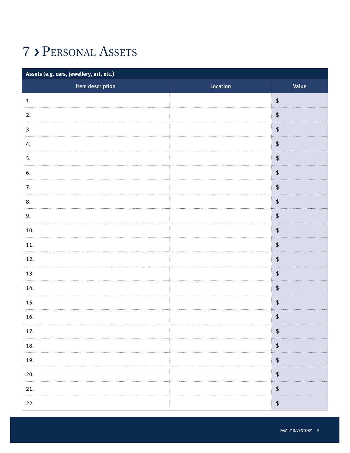### 7 › Personal Assets

| Assets (e.g. cars, jewellery, art, etc.) |          |                                              |
|------------------------------------------|----------|----------------------------------------------|
| Item description                         | Location | Value                                        |
| 1.                                       |          | $\,$                                         |
| 2.                                       |          | $\updownarrow$                               |
| 3.                                       |          | $\updownarrow$                               |
| 4.                                       |          | $\updownarrow$                               |
| 5.                                       |          | $\boldsymbol{\mathsf{\$}}$                   |
| 6.                                       |          | $\updownarrow$                               |
| 7.                                       |          | $\updownarrow$                               |
| 8.                                       |          | $\updownarrow$                               |
| 9.                                       |          | $\,$                                         |
| 10.                                      |          | $\updownarrow$                               |
| 11.                                      |          | $\updownarrow$                               |
| 12.                                      |          | $\updownarrow$                               |
| 13.                                      |          | $\updownarrow$                               |
| 14.                                      |          | $\updownarrow$                               |
| 15.                                      |          | $\updownarrow$                               |
| 16.                                      |          | $\updownarrow$                               |
| 17.                                      |          | \$                                           |
| 18.                                      |          | $\updownarrow$                               |
| 19.                                      |          | $\updownarrow$                               |
| 20.                                      |          | $\, \, \raisebox{12pt}{$\scriptstyle\circ$}$ |
| 21.                                      |          | $\updownarrow$                               |
| 22.                                      |          | $\updownarrow$                               |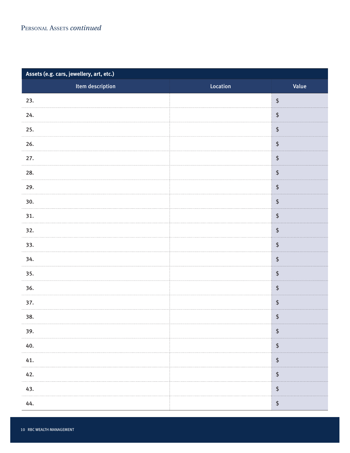#### PERSONAL ASSETS *continued*

| Assets (e.g. cars, jewellery, art, etc.) |          |                                                                  |
|------------------------------------------|----------|------------------------------------------------------------------|
| Item description                         | Location | Value                                                            |
| 23.                                      |          | $\, \, \raisebox{-1.5pt}{\ensuremath{\wp}}$                      |
| 24.                                      |          | $\, \, \raisebox{-1.5pt}{\ensuremath{\wp}}$                      |
| 25.                                      |          | $\pmb{\mathfrak{\$}}$                                            |
| 26.                                      |          | $\, \, \raisebox{-1.5pt}{\ensuremath{\wp}}$                      |
| 27.                                      |          | $\, \, \raisebox{-1.5pt}{\text{\circle*{1.5}}}\,$                |
| 28.                                      |          | $\, \, \raisebox{-1.5pt}{\ensuremath{\mathfrak{\mathfrak{sp}}}}$ |
| 29.                                      |          | $\updownarrow$                                                   |
| 30.                                      |          | $\, \, \raisebox{-1.5pt}{\text{\circle*{1.5}}}\,$                |
| 31.                                      |          | $\, \, \raisebox{-1.5pt}{\text{\circle*{1.5}}}\,$                |
| 32.<br>.                                 |          | $\updownarrow$                                                   |
| 33.                                      |          | $\updownarrow$                                                   |
| 34.                                      |          | $\, \, \raisebox{-1.5pt}{\text{\circle*{1.5}}}\,$                |
| 35.                                      |          | $\, \, \raisebox{-1.5pt}{\text{\circle*{1.5}}}\,$                |
| 36.                                      |          | $\, \, \raisebox{-1.5pt}{\text{\circle*{1.5}}}\,$                |
| 37.                                      |          | $\, \, \raisebox{-1.5pt}{\text{\circle*{1.5}}}\,$                |
| 38.                                      |          | $\, \, \raisebox{-1.5pt}{\ensuremath{\mathfrak{\mathfrak{sp}}}}$ |
| 39.                                      |          | $\boldsymbol{\$}$                                                |
| 40.                                      |          | $\boldsymbol{\$}$                                                |
| 41.                                      |          | $\boldsymbol{\$}$                                                |
| 42.                                      |          | $\boldsymbol{\$}$                                                |
| 43.                                      |          | $\updownarrow$                                                   |
| 44.                                      |          | $\updownarrow$                                                   |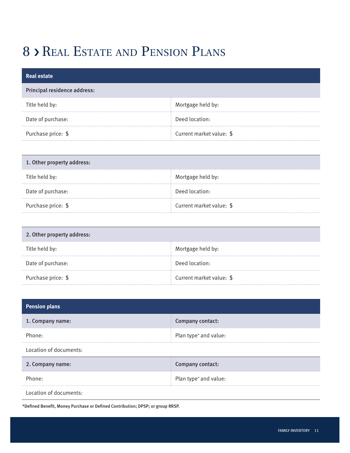#### 8 > REAL
ESTATE AND PENSION PLANS

| <b>Real estate</b>           |                          |
|------------------------------|--------------------------|
| Principal residence address: |                          |
| Title held by:               | Mortgage held by:        |
| Date of purchase:            | Deed location:           |
| Purchase price: \$           | Current market value: \$ |

| 1. Other property address: |                          |  |
|----------------------------|--------------------------|--|
| Title held by:             | Mortgage held by:        |  |
| Date of purchase:          | Deed location:           |  |
| Purchase price: \$         | Current market value: \$ |  |

| 2. Other property address: |                          |
|----------------------------|--------------------------|
| Title held by:             | Mortgage held by:        |
| Date of purchase:          | Deed location:           |
| Purchase price: \$         | Current market value: \$ |

| <b>Pension plans</b>   |                       |
|------------------------|-----------------------|
| 1. Company name:       | Company contact:      |
| Phone:                 | Plan type* and value: |
| Location of documents: |                       |
| 2. Company name:       | Company contact:      |
| Phone:                 | Plan type* and value: |
| Location of documents: |                       |

\*Defined Benefit, Money Purchase or Defined Contribution; DPSP; or group RRSP.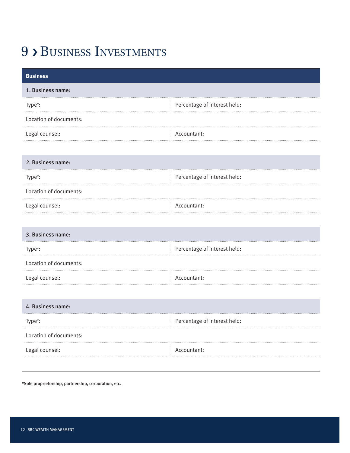#### 9 > BUSINESS INVESTMENTS

| <b>Business</b>        |                              |
|------------------------|------------------------------|
| 1. Business name:      |                              |
| Type*:                 | Percentage of interest held: |
| Location of documents: |                              |
| Legal counsel:         | Accountant:                  |
|                        |                              |
| 2. Business name:      |                              |
| Type*:                 | Percentage of interest held: |
| Location of documents: |                              |
| Legal counsel:         | Accountant:                  |
|                        |                              |
| 3. Business name:      |                              |
| Type*:                 | Percentage of interest held: |
| Location of documents: |                              |
| Legal counsel:         | Accountant:                  |
|                        |                              |
| 4. Business name:      |                              |
| Type*:                 | Percentage of interest held: |
| Location of documents: |                              |
| Legal counsel:         | Accountant:                  |
|                        |                              |

\*Sole proprietorship, partnership, corporation, etc.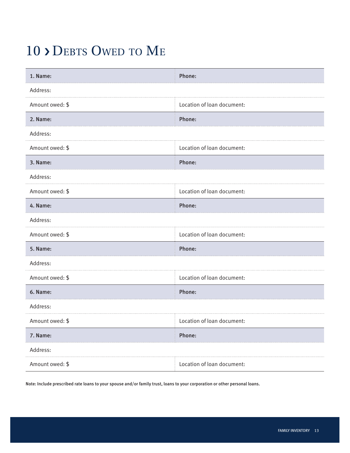#### 10 > DEBTS OWED TO ME

| 1. Name:        | Phone:                     |
|-----------------|----------------------------|
| Address:        |                            |
| Amount owed: \$ | Location of loan document: |
| 2. Name:        | Phone:                     |
| Address:        |                            |
| Amount owed: \$ | Location of loan document: |
| 3. Name:        | Phone:                     |
| Address:        |                            |
| Amount owed: \$ | Location of loan document: |
| 4. Name:        | Phone:                     |
| Address:        |                            |
| Amount owed: \$ | Location of loan document: |
| 5. Name:        | Phone:                     |
| Address:        |                            |
| Amount owed: \$ | Location of loan document: |
| 6. Name:        | Phone:                     |
| Address:        |                            |
| Amount owed: \$ | Location of loan document: |
| 7. Name:        | Phone:                     |
| Address:        |                            |
| Amount owed: \$ | Location of loan document: |

Note: Include prescribed rate loans to your spouse and/or family trust, loans to your corporation or other personal loans.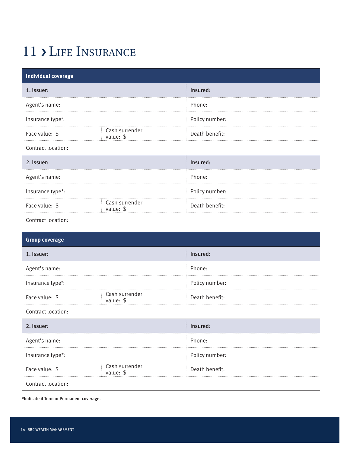#### 11 > LIFE INSURANCE

| <b>Individual coverage</b>          |                             |                                  |
|-------------------------------------|-----------------------------|----------------------------------|
| 1. Issuer:                          |                             | Insured:                         |
| Agent's name:                       |                             | Phone:                           |
| Insurance type*:                    |                             | Policy number:                   |
| Face value: \$                      | Cash surrender<br>value: \$ | Death benefit:                   |
| Contract location:                  |                             |                                  |
| 2. Issuer:                          |                             | Insured:                         |
| Agent's name:                       |                             | Phone:                           |
| Insurance type*:                    |                             | Policy number:                   |
| Face value: \$                      | Cash surrender<br>value: \$ | Death benefit:                   |
| Contract location:                  |                             |                                  |
|                                     |                             |                                  |
|                                     |                             |                                  |
| <b>Group coverage</b><br>1. Issuer: |                             | Insured:                         |
|                                     |                             | Phone:                           |
| Agent's name:                       |                             |                                  |
| Insurance type*:<br>Face value: \$  | Cash surrender              | Policy number:<br>Death benefit: |
| Contract location:                  | value: \$                   |                                  |
| 2. Issuer:                          |                             | Insured:                         |
| Agent's name:                       |                             | Phone:                           |
| Insurance type*:                    |                             | Policy number:                   |
| Face value: \$                      | Cash surrender<br>value: \$ | Death benefit:                   |

\*Indicate if Term or Permanent coverage.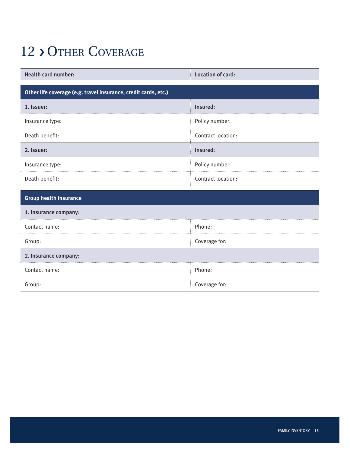#### 12 > OTHER COVERAGE

| <b>Health card number:</b>                                      | Location of card:  |  |
|-----------------------------------------------------------------|--------------------|--|
| Other life coverage (e.g. travel insurance, credit cards, etc.) |                    |  |
| 1. Issuer:                                                      | Insured:           |  |
| Insurance type:                                                 | Policy number:     |  |
| Death benefit:                                                  | Contract location: |  |
| 2. Issuer:                                                      | Insured:           |  |
| Insurance type:                                                 | Policy number:     |  |
| Death benefit:                                                  | Contract location: |  |
| <b>Group health insurance</b>                                   |                    |  |
| 1. Insurance company:                                           |                    |  |
| Contact name:                                                   | Phone:             |  |
| Group:                                                          | Coverage for:      |  |
| 2. Insurance company:                                           |                    |  |
| Contact name:                                                   | Phone:             |  |
| Group:                                                          | Coverage for:      |  |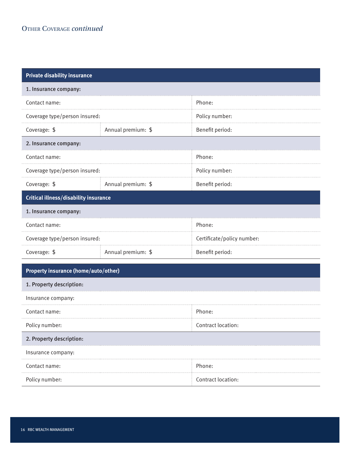| <b>Private disability insurance</b>          |                    |                            |
|----------------------------------------------|--------------------|----------------------------|
| 1. Insurance company:                        |                    |                            |
| Contact name:                                |                    | Phone:                     |
| Coverage type/person insured:                |                    | Policy number:             |
| Coverage: \$                                 | Annual premium: \$ | Benefit period:            |
| 2. Insurance company:                        |                    |                            |
| Contact name:                                |                    | Phone:                     |
| Coverage type/person insured:                |                    | Policy number:             |
| Coverage: \$                                 | Annual premium: \$ | Benefit period:            |
| <b>Critical illness/disability insurance</b> |                    |                            |
| 1. Insurance company:                        |                    |                            |
| Contact name:                                |                    | Phone:                     |
| Coverage type/person insured:                |                    | Certificate/policy number: |
| Coverage: \$                                 | Annual premium: \$ | Benefit period:            |
| <b>Property insurance (home/auto/other)</b>  |                    |                            |
| 1. Property description:                     |                    |                            |
| Insurance company:                           |                    |                            |
| Contact name:                                |                    | Phone:                     |
| Policy number:                               |                    | Contract location:         |
| 2. Property description:                     |                    |                            |
| Insurance company:                           |                    |                            |
| Contact name:                                |                    | Phone:                     |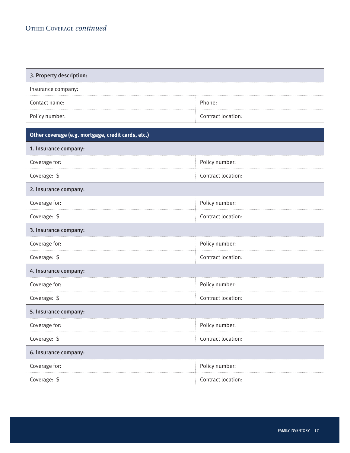| 3. Property description:                           |                    |  |
|----------------------------------------------------|--------------------|--|
| Insurance company:                                 |                    |  |
| Contact name:                                      | Phone:             |  |
| Policy number:                                     | Contract location: |  |
| Other coverage (e.g. mortgage, credit cards, etc.) |                    |  |
| 1. Insurance company:                              |                    |  |
| Coverage for:                                      | Policy number:     |  |
| Coverage: \$                                       | Contract location: |  |
| 2. Insurance company:                              |                    |  |
| Coverage for:                                      | Policy number:     |  |
| Coverage: \$                                       | Contract location: |  |
| 3. Insurance company:                              |                    |  |
| Coverage for:                                      | Policy number:     |  |
| Coverage: \$                                       | Contract location: |  |
| 4. Insurance company:                              |                    |  |
| Coverage for:                                      | Policy number:     |  |
| Coverage: \$                                       | Contract location: |  |
| 5. Insurance company:                              |                    |  |
| Coverage for:                                      | Policy number:     |  |
| Coverage: \$                                       | Contract location: |  |
| 6. Insurance company:                              |                    |  |
| Coverage for:                                      | Policy number:     |  |
| Coverage: \$                                       | Contract location: |  |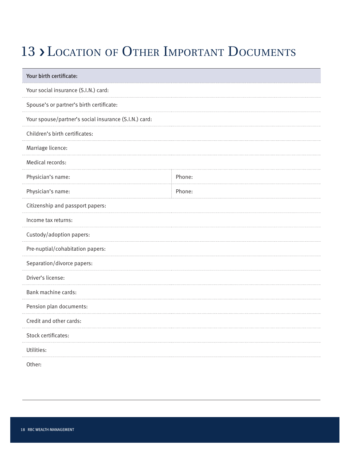#### 13 > LOCATION OF OTHER IMPORTANT DOCUMENTS

| Your birth certificate:                               |        |
|-------------------------------------------------------|--------|
| Your social insurance (S.I.N.) card:                  |        |
| Spouse's or partner's birth certificate:              |        |
| Your spouse/partner's social insurance (S.I.N.) card: |        |
| Children's birth certificates:                        |        |
| Marriage licence:                                     |        |
| Medical records:                                      |        |
| Physician's name:                                     | Phone: |
| Physician's name:                                     | Phone: |
| Citizenship and passport papers:                      |        |
| Income tax returns:                                   |        |
| Custody/adoption papers:                              |        |
| Pre-nuptial/cohabitation papers:                      |        |
| Separation/divorce papers:                            |        |
| Driver's license:                                     |        |
| Bank machine cards:                                   |        |
| Pension plan documents:                               |        |
| Credit and other cards:                               |        |
| Stock certificates:                                   |        |
| Utilities:                                            |        |
| Other:                                                |        |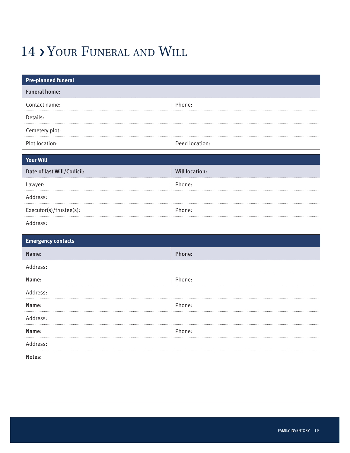### 14 > YOUR FUNERAL AND WILL

| <b>Pre-planned funeral</b> |                       |
|----------------------------|-----------------------|
| <b>Funeral home:</b>       |                       |
| Contact name:              | Phone:                |
| Details:<br>.              |                       |
| Cemetery plot:             |                       |
| Plot location:             | Deed location:        |
| <b>Your Will</b>           |                       |
| Date of last Will/Codicil: | <b>Will location:</b> |
| Lawyer:                    | Phone:                |
| Address:                   |                       |
| Executor(s)/trustee(s):    | Phone:                |
| Address:                   |                       |
| <b>Emergency contacts</b>  |                       |
|                            |                       |
| Name:                      | Phone:                |
| Address:                   |                       |
| Name:                      | Phone:                |
| Address:                   |                       |
| Name:                      | Phone:                |
| Address:                   |                       |
| Name:                      | Phone:                |
| Address:                   |                       |
| Notes:                     |                       |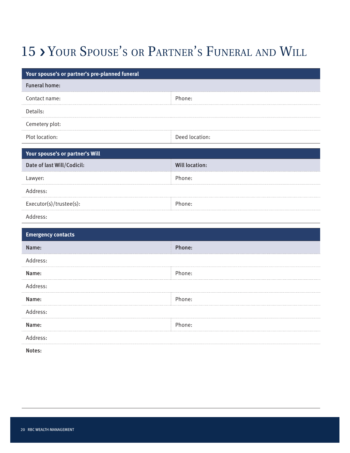### 15 › Your Spouse's or Partner's Funeral and Will

| Your spouse's or partner's pre-planned funeral |                       |
|------------------------------------------------|-----------------------|
| <b>Funeral home:</b>                           |                       |
| Contact name:                                  | Phone:                |
| Details:                                       |                       |
| Cemetery plot:                                 |                       |
| Plot location:                                 | Deed location:        |
| Your spouse's or partner's Will                |                       |
| Date of last Will/Codicil:                     | <b>Will location:</b> |
| Lawyer:                                        | Phone:                |
| Address:                                       |                       |
| Executor(s)/trustee(s):                        | Phone:                |
| Address:                                       |                       |
|                                                |                       |
| <b>Emergency contacts</b>                      |                       |
| Name:                                          | Phone:                |
| Address:                                       |                       |
| Name:                                          | Phone:                |
| Address:                                       |                       |
| Name:                                          | Phone:                |
| Address:                                       |                       |
| Name:                                          | Phone:                |
| Address:                                       |                       |
| Notes:                                         |                       |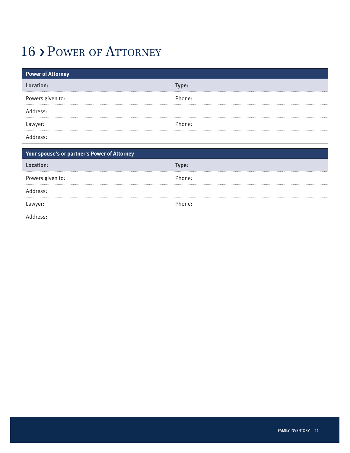#### 16 > POWER OF ATTORNEY

| <b>Power of Attorney</b> |        |
|--------------------------|--------|
| :ation:<br>Loc           | Type:  |
| Powers given to:         | Phone: |
| Address:                 |        |
| Lawyer:                  | Phone: |
| $\sim$ 1 1 $\sim$        |        |

Address:

| Your spouse's or partner's Power of Attorney |        |
|----------------------------------------------|--------|
| Location:                                    | Type:  |
| Powers given to:                             | Phone: |
| Address:                                     |        |
| Lawyer:                                      | Phone: |
| eress:                                       |        |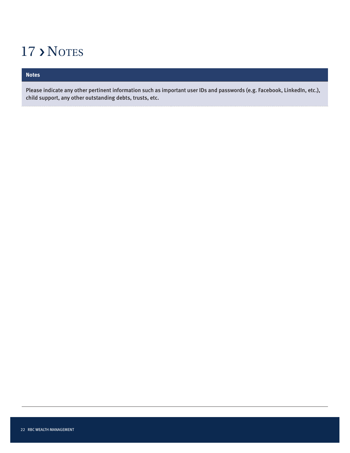#### 17 > Notes

#### **Notes**

Please indicate any other pertinent information such as important user IDs and passwords (e.g. Facebook, LinkedIn, etc.), child support, any other outstanding debts, trusts, etc.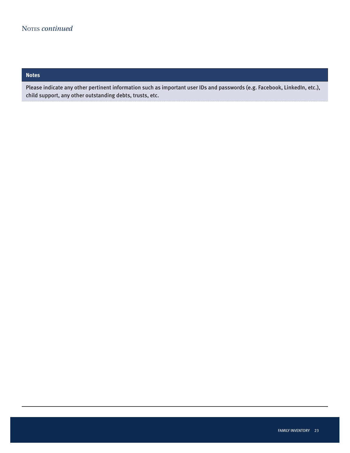#### **Notes**

Please indicate any other pertinent information such as important user IDs and passwords (e.g. Facebook, LinkedIn, etc.), child support, any other outstanding debts, trusts, etc.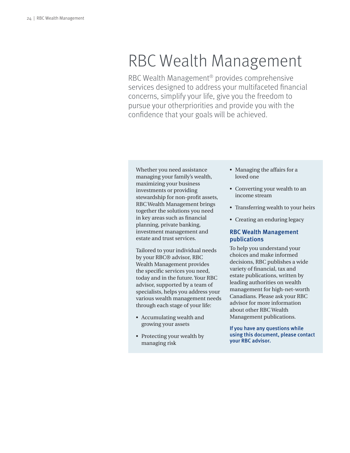# RBC Wealth Management

RBC Wealth Management® provides comprehensive services designed to address your multifaceted financial concerns, simplify your life, give you the freedom to pursue your otherpriorities and provide you with the confidence that your goals will be achieved.

Whether you need assistance managing your family's wealth, maximizing your business investments or providing stewardship for non-profit assets, RBC Wealth Management brings together the solutions you need in key areas such as financial planning, private banking, investment management and estate and trust services.

Tailored to your individual needs by your RBC® advisor, RBC Wealth Management provides the specific services you need, today and in the future. Your RBC advisor, supported by a team of specialists, helps you address your various wealth management needs through each stage of your life:

- Accumulating wealth and growing your assets
- Protecting your wealth by managing risk
- Managing the affairs for a loved one
- Converting your wealth to an income stream
- Transferring wealth to your heirs
- Creating an enduring legacy

#### RBC Wealth Management publications

To help you understand your choices and make informed decisions, RBC publishes a wide variety of financial, tax and estate publications, written by leading authorities on wealth management for high-net-worth Canadians. Please ask your RBC advisor for more information about other RBC Wealth Management publications.

If you have any questions while using this document, please contact your RBC advisor.